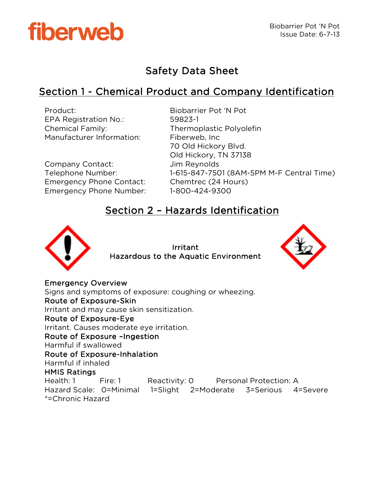

# Safety Data Sheet

# Section 1 - Chemical Product and Company Identification

| Product:<br><b>EPA Registration No.:</b><br><b>Chemical Family:</b><br>Manufacturer Information: | Biobarrier Pot 'N Pot<br>59823-1<br><b>Thermoplastic Polyolefin</b><br>Fiberweb, Inc.<br>70 Old Hickory Blvd.<br>Old Hickory, TN 37138 |
|--------------------------------------------------------------------------------------------------|----------------------------------------------------------------------------------------------------------------------------------------|
| Company Contact:                                                                                 | Jim Reynolds                                                                                                                           |
| Telephone Number:                                                                                | 1-615-847-7501 (8AM-5PM M-F Central Time)                                                                                              |
| <b>Emergency Phone Contact:</b>                                                                  | Chemtrec (24 Hours)                                                                                                                    |
| <b>Emergency Phone Number:</b>                                                                   | 1-800-424-9300                                                                                                                         |

## Section 2 – Hazards Identification



Irritant Hazardous to the Aquatic Environment



Emergency Overview Signs and symptoms of exposure: coughing or wheezing. Route of Exposure-Skin Irritant and may cause skin sensitization. Route of Exposure-Eye Irritant. Causes moderate eye irritation. Route of Exposure –Ingestion Harmful if swallowed Route of Exposure-Inhalation Harmful if inhaled HMIS Ratings Health: 1 Fire: 1 Reactivity: 0 Personal Protection: A Hazard Scale: 0=Minimal 1=Slight 2=Moderate 3=Serious 4=Severe \*=Chronic Hazard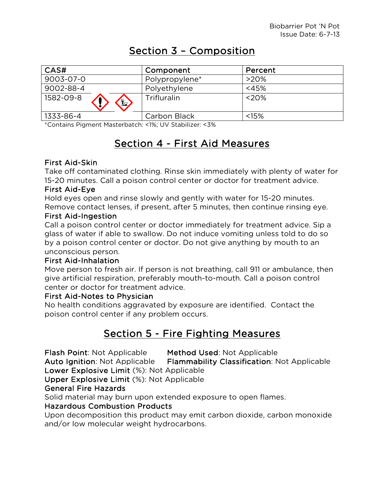# Section 3 – Composition

| CAS#                       | Component      | Percent  |
|----------------------------|----------------|----------|
| 9003-07-0                  | Polypropylene* | $>20\%$  |
| 9002-88-4                  | Polyethylene   | $<$ 45%  |
| 1582-09-8<br>$\frac{1}{2}$ | Trifluralin    | $<$ 20%  |
| 1333-86-4                  | Carbon Black   | $< 15\%$ |

\*Contains Pigment Masterbatch: <1%; UV Stabilizer: <3%

# Section 4 - First Aid Measures

### First Aid-Skin

Take off contaminated clothing. Rinse skin immediately with plenty of water for 15-20 minutes. Call a poison control center or doctor for treatment advice.

### First Aid-Eye

Hold eyes open and rinse slowly and gently with water for 15-20 minutes. Remove contact lenses, if present, after 5 minutes, then continue rinsing eye.

### First Aid-Ingestion

Call a poison control center or doctor immediately for treatment advice. Sip a glass of water if able to swallow. Do not induce vomiting unless told to do so by a poison control center or doctor. Do not give anything by mouth to an unconscious person.

### First Aid-Inhalation

Move person to fresh air. If person is not breathing, call 911 or ambulance, then give artificial respiration, preferably mouth-to-mouth. Call a poison control center or doctor for treatment advice.

### First Aid-Notes to Physician

No health conditions aggravated by exposure are identified. Contact the poison control center if any problem occurs.

# Section 5 - Fire Fighting Measures

Flash Point: Not Applicable Method Used: Not Applicable

Auto Ignition: Not Applicable Flammability Classification: Not Applicable Lower Explosive Limit (%): Not Applicable

Upper Explosive Limit (%): Not Applicable

### General Fire Hazards

Solid material may burn upon extended exposure to open flames.

## Hazardous Combustion Products

Upon decomposition this product may emit carbon dioxide, carbon monoxide and/or low molecular weight hydrocarbons.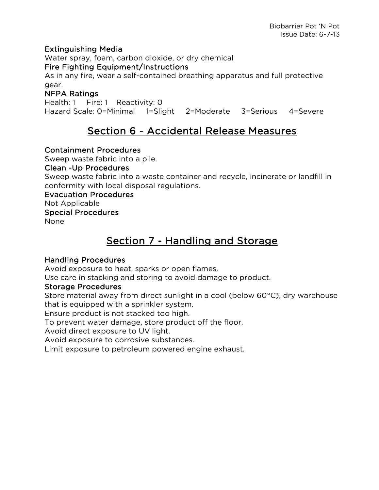### Extinguishing Media

Water spray, foam, carbon dioxide, or dry chemical

#### Fire Fighting Equipment/Instructions

As in any fire, wear a self-contained breathing apparatus and full protective gear.

### NFPA Ratings

Health: 1 Fire: 1 Reactivity: 0 Hazard Scale: 0=Minimal 1=Slight 2=Moderate 3=Serious 4=Severe

# Section 6 - Accidental Release Measures

### Containment Procedures

Sweep waste fabric into a pile.

#### Clean -Up Procedures

Sweep waste fabric into a waste container and recycle, incinerate or landfill in conformity with local disposal regulations.

## Evacuation Procedures

Not Applicable

### Special Procedures

None

# Section 7 - Handling and Storage

### Handling Procedures

Avoid exposure to heat, sparks or open flames.

Use care in stacking and storing to avoid damage to product.

### Storage Procedures

Store material away from direct sunlight in a cool (below 60°C), dry warehouse that is equipped with a sprinkler system.

Ensure product is not stacked too high.

To prevent water damage, store product off the floor.

Avoid direct exposure to UV light.

Avoid exposure to corrosive substances.

Limit exposure to petroleum powered engine exhaust.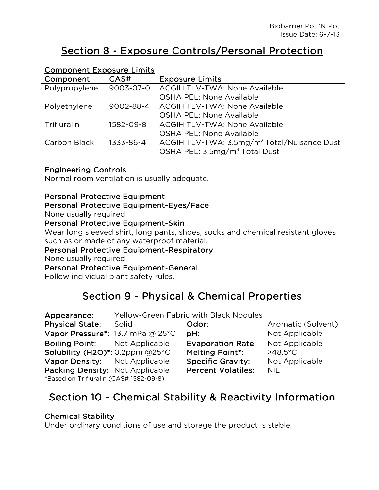# Section 8 - Exposure Controls/Personal Protection

| Component Exposure Limits |           |                                                         |
|---------------------------|-----------|---------------------------------------------------------|
| Component                 | CAS#      | <b>Exposure Limits</b>                                  |
| Polypropylene             | 9003-07-0 | <b>ACGIH TLV-TWA: None Available</b>                    |
|                           |           | <b>OSHA PEL: None Available</b>                         |
| Polyethylene              | 9002-88-4 | <b>ACGIH TLV-TWA: None Available</b>                    |
|                           |           | <b>OSHA PEL: None Available</b>                         |
| Trifluralin               | 1582-09-8 | <b>ACGIH TLV-TWA: None Available</b>                    |
|                           |           | <b>OSHA PEL: None Available</b>                         |
| Carbon Black              | 1333-86-4 | ACGIH TLV-TWA: 3.5mg/m <sup>3</sup> Total/Nuisance Dust |
|                           |           | OSHA PEL: 3.5mg/m <sup>3</sup> Total Dust               |

## Component Exposure Limits

### Engineering Controls

Normal room ventilation is usually adequate.

### Personal Protective Equipment

#### Personal Protective Equipment-Eyes/Face

None usually required

### Personal Protective Equipment-Skin

Wear long sleeved shirt, long pants, shoes, socks and chemical resistant gloves such as or made of any waterproof material.

#### Personal Protective Equipment-Respiratory

None usually required

Personal Protective Equipment-General

Follow individual plant safety rules.

# Section 9 - Physical & Chemical Properties

| Appearance:                            |       | <b>Yellow-Green Fabric with Black Nodules</b> |                    |
|----------------------------------------|-------|-----------------------------------------------|--------------------|
| <b>Physical State:</b>                 | Solid | Odor:                                         | Aromatic (Solvent) |
| Vapor Pressure*: 13.7 mPa @ 25°C       |       | PH:                                           | Not Applicable     |
| <b>Boiling Point:</b> Not Applicable   |       | <b>Evaporation Rate:</b>                      | Not Applicable     |
| Solubility (H2O)*: 0.2ppm $@25°C$      |       | <b>Melting Point*:</b>                        | $>48.5^{\circ}$ C  |
| Vapor Density: Not Applicable          |       | <b>Specific Gravity:</b>                      | Not Applicable     |
| Packing Density: Not Applicable        |       | <b>Percent Volatiles:</b>                     | <b>NIL</b>         |
| *Based on Trifluralin (CAS# 1582-09-8) |       |                                               |                    |

# Section 10 - Chemical Stability & Reactivity Information

### Chemical Stability

Under ordinary conditions of use and storage the product is stable.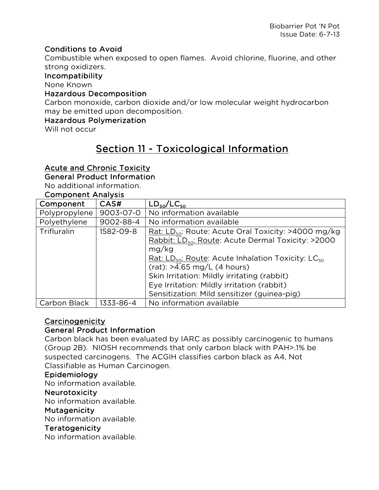### Conditions to Avoid

Combustible when exposed to open flames. Avoid chlorine, fluorine, and other strong oxidizers.

#### Incompatibility

None Known

#### Hazardous Decomposition

Carbon monoxide, carbon dioxide and/or low molecular weight hydrocarbon may be emitted upon decomposition.

#### Hazardous Polymerization

Will not occur

# Section 11 - Toxicological Information

### Acute and Chronic Toxicity

#### General Product Information

No additional information.

#### Component Analysis

| Component     | CAS#      | $LD_{50}/LC_{50}$                                                       |  |
|---------------|-----------|-------------------------------------------------------------------------|--|
| Polypropylene | 9003-07-0 | No information available                                                |  |
| Polyethylene  | 9002-88-4 | No information available                                                |  |
| Trifluralin   | 1582-09-8 | Rat: $LD_{50}$ : Route: Acute Oral Toxicity: >4000 mg/kg                |  |
|               |           | Rabbit: LD <sub>50</sub> : Route: Acute Dermal Toxicity: >2000<br>mg/kg |  |
|               |           | Rat: $LD_{50}$ : Route: Acute Inhalation Toxicity: LC $_{50}$           |  |
|               |           | $(rat):$ >4.65 mg/L (4 hours)                                           |  |
|               |           | Skin Irritation: Mildly irritating (rabbit)                             |  |
|               |           | Eye Irritation: Mildly irritation (rabbit)                              |  |
|               |           | Sensitization: Mild sensitizer (guinea-pig)                             |  |
| Carbon Black  | 1333-86-4 | No information available                                                |  |

### Carcinogenicity

#### General Product Information

Carbon black has been evaluated by IARC as possibly carcinogenic to humans (Group 2B). NIOSH recommends that only carbon black with PAH>.1% be suspected carcinogens. The ACGIH classifies carbon black as A4, Not Classifiable as Human Carcinogen.

#### Epidemiology

No information available.

#### Neurotoxicity

No information available.

#### Mutagenicity

No information available.

#### Teratogenicity

No information available.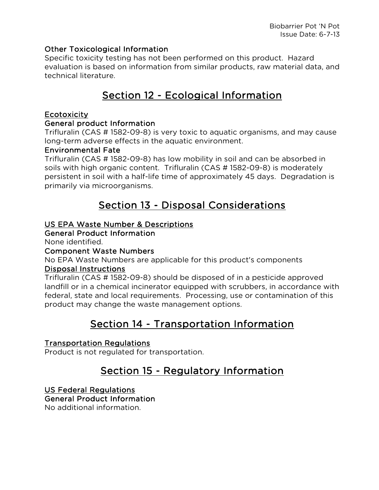### Other Toxicological Information

Specific toxicity testing has not been performed on this product. Hazard evaluation is based on information from similar products, raw material data, and technical literature.

# Section 12 - Ecological Information

### Ecotoxicity

### General product Information

Trifluralin (CAS # 1582-09-8) is very toxic to aquatic organisms, and may cause long-term adverse effects in the aquatic environment.

### Environmental Fate

Trifluralin (CAS # 1582-09-8) has low mobility in soil and can be absorbed in soils with high organic content. Trifluralin (CAS # 1582-09-8) is moderately persistent in soil with a half-life time of approximately 45 days. Degradation is primarily via microorganisms.

## Section 13 - Disposal Considerations

### US EPA Waste Number & Descriptions

General Product Information

None identified.

### Component Waste Numbers

No EPA Waste Numbers are applicable for this product's components Disposal Instructions

Trifluralin (CAS # 1582-09-8) should be disposed of in a pesticide approved landfill or in a chemical incinerator equipped with scrubbers, in accordance with federal, state and local requirements. Processing, use or contamination of this product may change the waste management options.

# Section 14 - Transportation Information

## Transportation Regulations

Product is not regulated for transportation.

# Section 15 - Regulatory Information

## US Federal Regulations

### General Product Information

No additional information.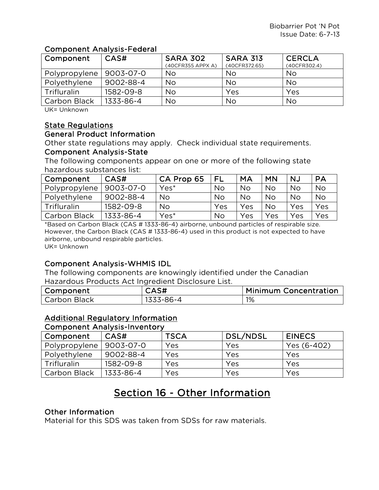### Component Analysis-Federal

| Component     | CAS#      | <b>SARA 302</b>   | <b>SARA 313</b> | <b>CERCLA</b> |
|---------------|-----------|-------------------|-----------------|---------------|
|               |           | (40CFR355 APPX A) | (40CFR372.65)   | (40CFR302.4)  |
| Polypropylene | 9003-07-0 | <b>No</b>         | No              | No            |
| Polyethylene  | 9002-88-4 | <b>No</b>         | No              | <b>No</b>     |
| Trifluralin   | 1582-09-8 | No                | Yes             | Yes           |
| Carbon Black  | 1333-86-4 | No                | No              | No            |

UK= Unknown

## State Regulations

#### General Product Information

Other state regulations may apply. Check individual state requirements. Component Analysis-State

The following components appear on one or more of the following state hazardous substances list:

| Component     | CAS#      | CA Prop 65 | FL  | <b>MA</b> | <b>MN</b> | NJ        | PA        |
|---------------|-----------|------------|-----|-----------|-----------|-----------|-----------|
| Polypropylene | 9003-07-0 | Yes*       | No  | <b>No</b> | <b>No</b> | No        | No        |
| Polyethylene  | 9002-88-4 | <b>No</b>  | No  | <b>No</b> | <b>No</b> | <b>No</b> | <b>No</b> |
| Trifluralin   | 1582-09-8 | No         | Yes | Yes       | <b>No</b> | Yes       | Yes       |
| Carbon Black  | 1333-86-4 | Yes*       | No  | Yes       | Yes       | Yes       | Yes       |

\*Based on Carbon Black (CAS # 1333-86-4) airborne, unbound particles of respirable size. However, the Carbon Black (CAS # 1333-86-4) used in this product is not expected to have airborne, unbound respirable particles. UK= Unknown

## Component Analysis-WHMIS IDL

The following components are knowingly identified under the Canadian Hazardous Products Act Ingredient Disclosure List.

| Component    | CAS#      | <b>Minimum Concentration</b> |
|--------------|-----------|------------------------------|
| Carbon Black | 1333-86-4 | 1%                           |

## Additional Regulatory Information

#### Component Analysis-Inventory

| Component     | CAS#      | <b>TSCA</b> | DSL/NDSL | <b>EINECS</b> |
|---------------|-----------|-------------|----------|---------------|
| Polypropylene | 9003-07-0 | Yes         | Yes      | Yes (6-402)   |
| Polyethylene  | 9002-88-4 | Yes         | Yes      | Yes           |
| Trifluralin   | 1582-09-8 | Yes         | Yes      | Yes           |
| Carbon Black  | 1333-86-4 | Yes         | Yes      | Yes           |

# Section 16 - Other Information

### Other Information

Material for this SDS was taken from SDSs for raw materials.